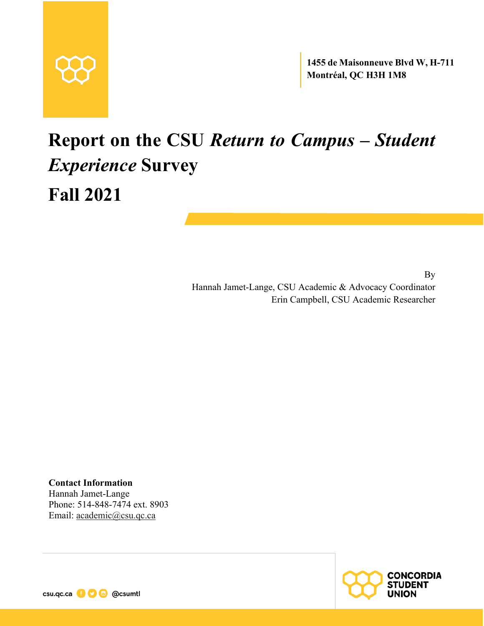

**1455 de Maisonneuve Blvd W, H-711 Montréal, QC H3H 1M8**

# **Report on the CSU** *Return to Campus – Student Experience* **Survey Fall 2021**

By Hannah Jamet-Lange, CSU Academic & Advocacy Coordinator Erin Campbell, CSU Academic Researcher

**Contact Information** Hannah Jamet-Lange Phone: 514-848-7474 ext. 8903 Email: academic@csu.qc.ca



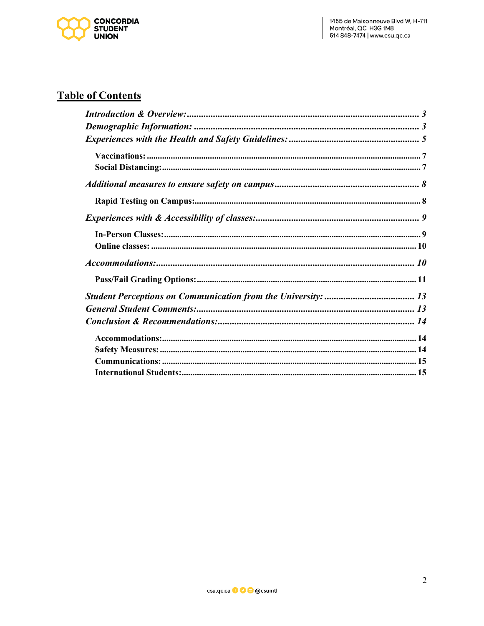

#### **Table of Contents**

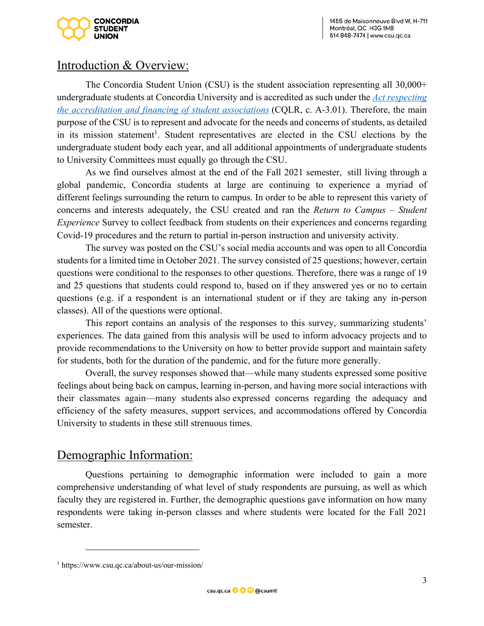

## Introduction & Overview:

The Concordia Student Union (CSU) is the student association representing all 30,000+ undergraduate students at Concordia University and is accredited as such under the *Act respecting the accreditation and financing of student associations* (CQLR, c. A-3.01). Therefore, the main purpose of the CSU is to represent and advocate for the needs and concerns of students, as detailed in its mission statement<sup>1</sup>. Student representatives are elected in the CSU elections by the undergraduate student body each year, and all additional appointments of undergraduate students to University Committees must equally go through the CSU.

As we find ourselves almost at the end of the Fall 2021 semester, still living through a global pandemic, Concordia students at large are continuing to experience a myriad of different feelings surrounding the return to campus. In order to be able to represent this variety of concerns and interests adequately, the CSU created and ran the *Return to Campus – Student Experience* Survey to collect feedback from students on their experiences and concerns regarding Covid-19 procedures and the return to partial in-person instruction and university activity.

The survey was posted on the CSU's social media accounts and was open to all Concordia students for a limited time in October 2021. The survey consisted of 25 questions; however, certain questions were conditional to the responses to other questions. Therefore, there was a range of 19 and 25 questions that students could respond to, based on if they answered yes or no to certain questions (e.g. if a respondent is an international student or if they are taking any in-person classes). All of the questions were optional.

This report contains an analysis of the responses to this survey, summarizing students' experiences. The data gained from this analysis will be used to inform advocacy projects and to provide recommendations to the University on how to better provide support and maintain safety for students, both for the duration of the pandemic, and for the future more generally.

Overall, the survey responses showed that—while many students expressed some positive feelings about being back on campus, learning in-person, and having more social interactions with their classmates again—many students also expressed concerns regarding the adequacy and efficiency of the safety measures, support services, and accommodations offered by Concordia University to students in these still strenuous times.

## Demographic Information:

Questions pertaining to demographic information were included to gain a more comprehensive understanding of what level of study respondents are pursuing, as well as which faculty they are registered in. Further, the demographic questions gave information on how many respondents were taking in-person classes and where students were located for the Fall 2021 semester.

<sup>1</sup> https://www.csu.qc.ca/about-us/our-mission/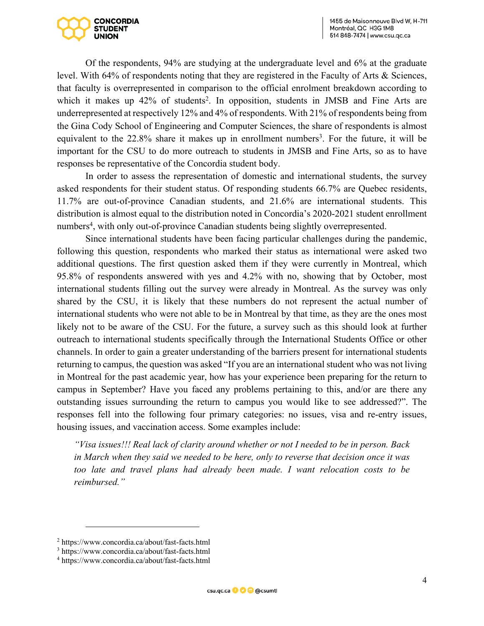

Of the respondents, 94% are studying at the undergraduate level and 6% at the graduate level. With 64% of respondents noting that they are registered in the Faculty of Arts & Sciences, that faculty is overrepresented in comparison to the official enrolment breakdown according to which it makes up  $42\%$  of students<sup>2</sup>. In opposition, students in JMSB and Fine Arts are underrepresented at respectively 12% and 4% of respondents. With 21% of respondents being from the Gina Cody School of Engineering and Computer Sciences, the share of respondents is almost equivalent to the 22.8% share it makes up in enrollment numbers<sup>3</sup>. For the future, it will be important for the CSU to do more outreach to students in JMSB and Fine Arts, so as to have responses be representative of the Concordia student body.

In order to assess the representation of domestic and international students, the survey asked respondents for their student status. Of responding students 66.7% are Quebec residents, 11.7% are out-of-province Canadian students, and 21.6% are international students. This distribution is almost equal to the distribution noted in Concordia's 2020-2021 student enrollment numbers<sup>4</sup>, with only out-of-province Canadian students being slightly overrepresented.

Since international students have been facing particular challenges during the pandemic, following this question, respondents who marked their status as international were asked two additional questions. The first question asked them if they were currently in Montreal, which 95.8% of respondents answered with yes and 4.2% with no, showing that by October, most international students filling out the survey were already in Montreal. As the survey was only shared by the CSU, it is likely that these numbers do not represent the actual number of international students who were not able to be in Montreal by that time, as they are the ones most likely not to be aware of the CSU. For the future, a survey such as this should look at further outreach to international students specifically through the International Students Office or other channels. In order to gain a greater understanding of the barriers present for international students returning to campus, the question was asked "If you are an international student who was not living in Montreal for the past academic year, how has your experience been preparing for the return to campus in September? Have you faced any problems pertaining to this, and/or are there any outstanding issues surrounding the return to campus you would like to see addressed?". The responses fell into the following four primary categories: no issues, visa and re-entry issues, housing issues, and vaccination access. Some examples include:

*"Visa issues!!! Real lack of clarity around whether or not I needed to be in person. Back in March when they said we needed to be here, only to reverse that decision once it was too late and travel plans had already been made. I want relocation costs to be reimbursed."* 

<sup>2</sup> https://www.concordia.ca/about/fast-facts.html

<sup>3</sup> https://www.concordia.ca/about/fast-facts.html

<sup>4</sup> https://www.concordia.ca/about/fast-facts.html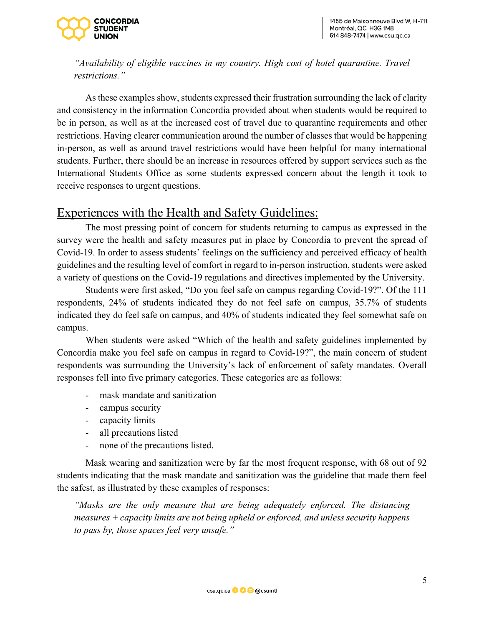

*"Availability of eligible vaccines in my country. High cost of hotel quarantine. Travel restrictions."* 

As these examples show, students expressed their frustration surrounding the lack of clarity and consistency in the information Concordia provided about when students would be required to be in person, as well as at the increased cost of travel due to quarantine requirements and other restrictions. Having clearer communication around the number of classes that would be happening in-person, as well as around travel restrictions would have been helpful for many international students. Further, there should be an increase in resources offered by support services such as the International Students Office as some students expressed concern about the length it took to receive responses to urgent questions.

#### Experiences with the Health and Safety Guidelines:

The most pressing point of concern for students returning to campus as expressed in the survey were the health and safety measures put in place by Concordia to prevent the spread of Covid-19. In order to assess students' feelings on the sufficiency and perceived efficacy of health guidelines and the resulting level of comfort in regard to in-person instruction, students were asked a variety of questions on the Covid-19 regulations and directives implemented by the University.

Students were first asked, "Do you feel safe on campus regarding Covid-19?". Of the 111 respondents, 24% of students indicated they do not feel safe on campus, 35.7% of students indicated they do feel safe on campus, and 40% of students indicated they feel somewhat safe on campus.

When students were asked "Which of the health and safety guidelines implemented by Concordia make you feel safe on campus in regard to Covid-19?", the main concern of student respondents was surrounding the University's lack of enforcement of safety mandates. Overall responses fell into five primary categories. These categories are as follows:

- mask mandate and sanitization
- campus security
- capacity limits
- all precautions listed
- none of the precautions listed.

Mask wearing and sanitization were by far the most frequent response, with 68 out of 92 students indicating that the mask mandate and sanitization was the guideline that made them feel the safest, as illustrated by these examples of responses:

*"Masks are the only measure that are being adequately enforced. The distancing measures + capacity limits are not being upheld or enforced, and unless security happens to pass by, those spaces feel very unsafe."*

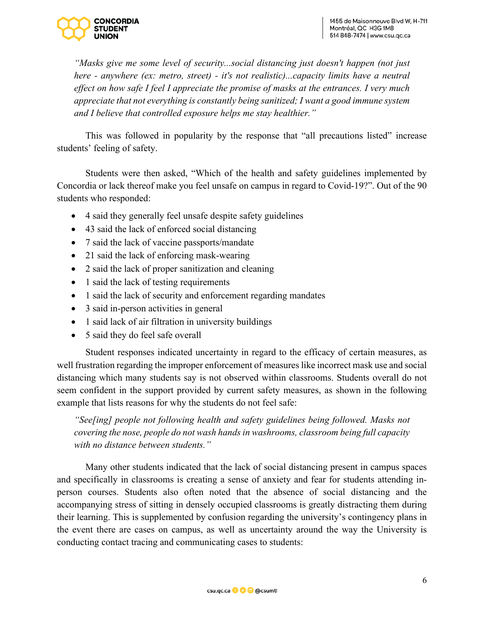

*"Masks give me some level of security...social distancing just doesn't happen (not just here - anywhere (ex: metro, street) - it's not realistic)...capacity limits have a neutral effect on how safe I feel I appreciate the promise of masks at the entrances. I very much appreciate that not everything is constantly being sanitized; I want a good immune system and I believe that controlled exposure helps me stay healthier."*

This was followed in popularity by the response that "all precautions listed" increase students' feeling of safety.

Students were then asked, "Which of the health and safety guidelines implemented by Concordia or lack thereof make you feel unsafe on campus in regard to Covid-19?". Out of the 90 students who responded:

- 4 said they generally feel unsafe despite safety guidelines
- 43 said the lack of enforced social distancing
- 7 said the lack of vaccine passports/mandate
- 21 said the lack of enforcing mask-wearing
- 2 said the lack of proper sanitization and cleaning
- 1 said the lack of testing requirements
- 1 said the lack of security and enforcement regarding mandates
- 3 said in-person activities in general
- 1 said lack of air filtration in university buildings
- 5 said they do feel safe overall

Student responses indicated uncertainty in regard to the efficacy of certain measures, as well frustration regarding the improper enforcement of measures like incorrect mask use and social distancing which many students say is not observed within classrooms. Students overall do not seem confident in the support provided by current safety measures, as shown in the following example that lists reasons for why the students do not feel safe:

*"See[ing] people not following health and safety guidelines being followed. Masks not covering the nose, people do not wash hands in washrooms, classroom being full capacity with no distance between students."*

Many other students indicated that the lack of social distancing present in campus spaces and specifically in classrooms is creating a sense of anxiety and fear for students attending inperson courses. Students also often noted that the absence of social distancing and the accompanying stress of sitting in densely occupied classrooms is greatly distracting them during their learning. This is supplemented by confusion regarding the university's contingency plans in the event there are cases on campus, as well as uncertainty around the way the University is conducting contact tracing and communicating cases to students:

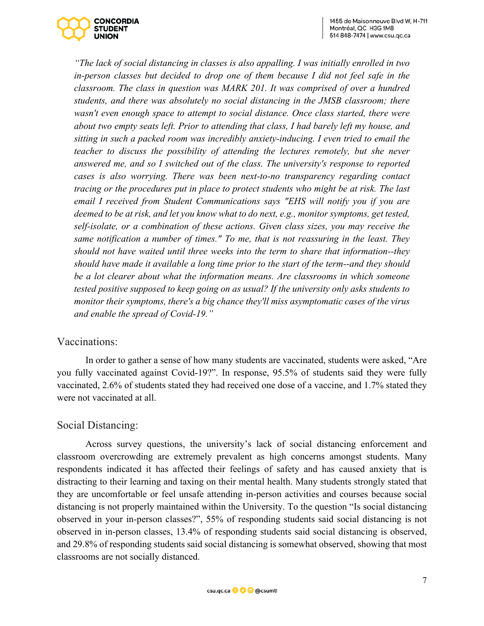

*"The lack of social distancing in classes is also appalling. I was initially enrolled in two in-person classes but decided to drop one of them because I did not feel safe in the classroom. The class in question was MARK 201. It was comprised of over a hundred students, and there was absolutely no social distancing in the JMSB classroom; there wasn't even enough space to attempt to social distance. Once class started, there were about two empty seats left. Prior to attending that class, I had barely left my house, and sitting in such a packed room was incredibly anxiety-inducing. I even tried to email the teacher to discuss the possibility of attending the lectures remotely, but she never answered me, and so I switched out of the class. The university's response to reported cases is also worrying. There was been next-to-no transparency regarding contact tracing or the procedures put in place to protect students who might be at risk. The last email I received from Student Communications says "EHS will notify you if you are deemed to be at risk, and let you know what to do next, e.g., monitor symptoms, get tested, self-isolate, or a combination of these actions. Given class sizes, you may receive the same notification a number of times." To me, that is not reassuring in the least. They should not have waited until three weeks into the term to share that information--they should have made it available a long time prior to the start of the term--and they should be a lot clearer about what the information means. Are classrooms in which someone tested positive supposed to keep going on as usual? If the university only asks students to monitor their symptoms, there's a big chance they'll miss asymptomatic cases of the virus and enable the spread of Covid-19."*

#### Vaccinations:

In order to gather a sense of how many students are vaccinated, students were asked, "Are you fully vaccinated against Covid-19?". In response, 95.5% of students said they were fully vaccinated, 2.6% of students stated they had received one dose of a vaccine, and 1.7% stated they were not vaccinated at all.

#### Social Distancing:

Across survey questions, the university's lack of social distancing enforcement and classroom overcrowding are extremely prevalent as high concerns amongst students. Many respondents indicated it has affected their feelings of safety and has caused anxiety that is distracting to their learning and taxing on their mental health. Many students strongly stated that they are uncomfortable or feel unsafe attending in-person activities and courses because social distancing is not properly maintained within the University. To the question "Is social distancing observed in your in-person classes?", 55% of responding students said social distancing is not observed in in-person classes, 13.4% of responding students said social distancing is observed, and 29.8% of responding students said social distancing is somewhat observed, showing that most classrooms are not socially distanced.

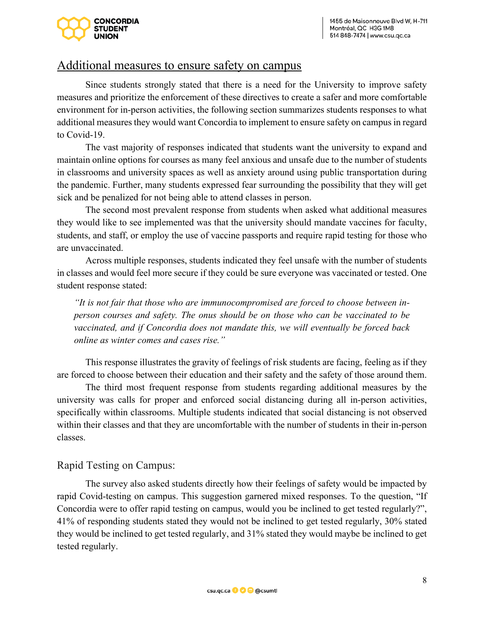

#### Additional measures to ensure safety on campus

Since students strongly stated that there is a need for the University to improve safety measures and prioritize the enforcement of these directives to create a safer and more comfortable environment for in-person activities, the following section summarizes students responses to what additional measures they would want Concordia to implement to ensure safety on campus in regard to Covid-19.

The vast majority of responses indicated that students want the university to expand and maintain online options for courses as many feel anxious and unsafe due to the number of students in classrooms and university spaces as well as anxiety around using public transportation during the pandemic. Further, many students expressed fear surrounding the possibility that they will get sick and be penalized for not being able to attend classes in person.

The second most prevalent response from students when asked what additional measures they would like to see implemented was that the university should mandate vaccines for faculty, students, and staff, or employ the use of vaccine passports and require rapid testing for those who are unvaccinated.

Across multiple responses, students indicated they feel unsafe with the number of students in classes and would feel more secure if they could be sure everyone was vaccinated or tested. One student response stated:

*"It is not fair that those who are immunocompromised are forced to choose between inperson courses and safety. The onus should be on those who can be vaccinated to be vaccinated, and if Concordia does not mandate this, we will eventually be forced back online as winter comes and cases rise."* 

This response illustrates the gravity of feelings of risk students are facing, feeling as if they are forced to choose between their education and their safety and the safety of those around them.

The third most frequent response from students regarding additional measures by the university was calls for proper and enforced social distancing during all in-person activities, specifically within classrooms. Multiple students indicated that social distancing is not observed within their classes and that they are uncomfortable with the number of students in their in-person classes.

#### Rapid Testing on Campus:

The survey also asked students directly how their feelings of safety would be impacted by rapid Covid-testing on campus. This suggestion garnered mixed responses. To the question, "If Concordia were to offer rapid testing on campus, would you be inclined to get tested regularly?", 41% of responding students stated they would not be inclined to get tested regularly, 30% stated they would be inclined to get tested regularly, and 31% stated they would maybe be inclined to get tested regularly.

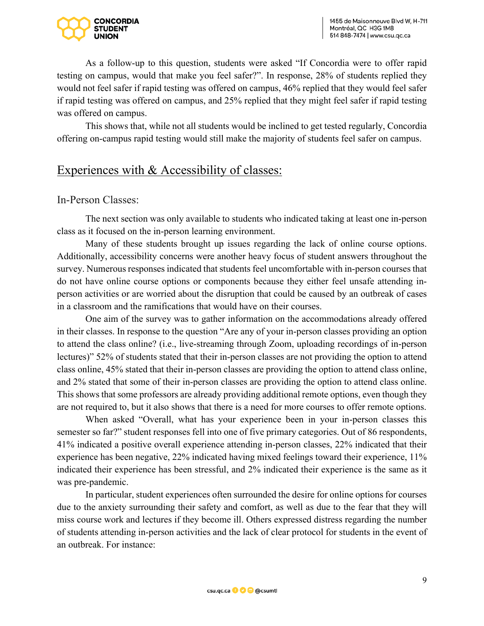

As a follow-up to this question, students were asked "If Concordia were to offer rapid testing on campus, would that make you feel safer?". In response, 28% of students replied they would not feel safer if rapid testing was offered on campus, 46% replied that they would feel safer if rapid testing was offered on campus, and 25% replied that they might feel safer if rapid testing was offered on campus.

This shows that, while not all students would be inclined to get tested regularly, Concordia offering on-campus rapid testing would still make the majority of students feel safer on campus.

## Experiences with & Accessibility of classes:

#### In-Person Classes:

The next section was only available to students who indicated taking at least one in-person class as it focused on the in-person learning environment.

Many of these students brought up issues regarding the lack of online course options. Additionally, accessibility concerns were another heavy focus of student answers throughout the survey. Numerous responses indicated that students feel uncomfortable with in-person courses that do not have online course options or components because they either feel unsafe attending inperson activities or are worried about the disruption that could be caused by an outbreak of cases in a classroom and the ramifications that would have on their courses.

One aim of the survey was to gather information on the accommodations already offered in their classes. In response to the question "Are any of your in-person classes providing an option to attend the class online? (i.e., live-streaming through Zoom, uploading recordings of in-person lectures)" 52% of students stated that their in-person classes are not providing the option to attend class online, 45% stated that their in-person classes are providing the option to attend class online, and 2% stated that some of their in-person classes are providing the option to attend class online. This shows that some professors are already providing additional remote options, even though they are not required to, but it also shows that there is a need for more courses to offer remote options.

When asked "Overall, what has your experience been in your in-person classes this semester so far?" student responses fell into one of five primary categories. Out of 86 respondents, 41% indicated a positive overall experience attending in-person classes, 22% indicated that their experience has been negative, 22% indicated having mixed feelings toward their experience, 11% indicated their experience has been stressful, and 2% indicated their experience is the same as it was pre-pandemic.

In particular, student experiences often surrounded the desire for online options for courses due to the anxiety surrounding their safety and comfort, as well as due to the fear that they will miss course work and lectures if they become ill. Others expressed distress regarding the number of students attending in-person activities and the lack of clear protocol for students in the event of an outbreak. For instance:

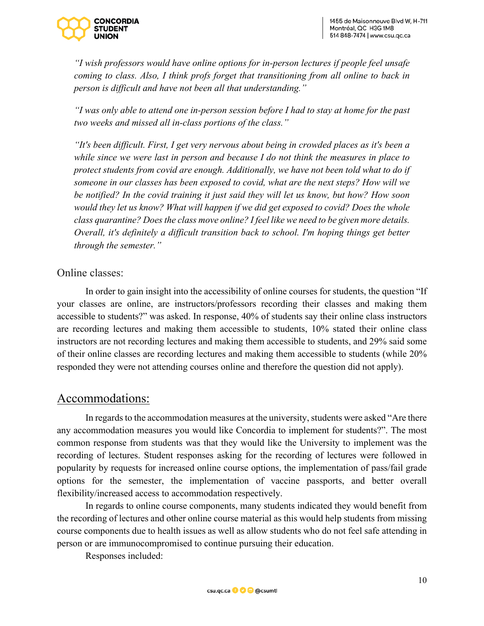

*"I wish professors would have online options for in-person lectures if people feel unsafe coming to class. Also, I think profs forget that transitioning from all online to back in person is difficult and have not been all that understanding."*

*"I was only able to attend one in-person session before I had to stay at home for the past two weeks and missed all in-class portions of the class."*

*"It's been difficult. First, I get very nervous about being in crowded places as it's been a while since we were last in person and because I do not think the measures in place to protect students from covid are enough. Additionally, we have not been told what to do if someone in our classes has been exposed to covid, what are the next steps? How will we be notified? In the covid training it just said they will let us know, but how? How soon would they let us know? What will happen if we did get exposed to covid? Does the whole class quarantine? Does the class move online? I feel like we need to be given more details. Overall, it's definitely a difficult transition back to school. I'm hoping things get better through the semester."*

#### Online classes:

In order to gain insight into the accessibility of online courses for students, the question "If your classes are online, are instructors/professors recording their classes and making them accessible to students?" was asked. In response, 40% of students say their online class instructors are recording lectures and making them accessible to students, 10% stated their online class instructors are not recording lectures and making them accessible to students, and 29% said some of their online classes are recording lectures and making them accessible to students (while 20% responded they were not attending courses online and therefore the question did not apply).

#### Accommodations:

In regards to the accommodation measures at the university, students were asked "Are there any accommodation measures you would like Concordia to implement for students?". The most common response from students was that they would like the University to implement was the recording of lectures. Student responses asking for the recording of lectures were followed in popularity by requests for increased online course options, the implementation of pass/fail grade options for the semester, the implementation of vaccine passports, and better overall flexibility/increased access to accommodation respectively.

In regards to online course components, many students indicated they would benefit from the recording of lectures and other online course material as this would help students from missing course components due to health issues as well as allow students who do not feel safe attending in person or are immunocompromised to continue pursuing their education.

Responses included:

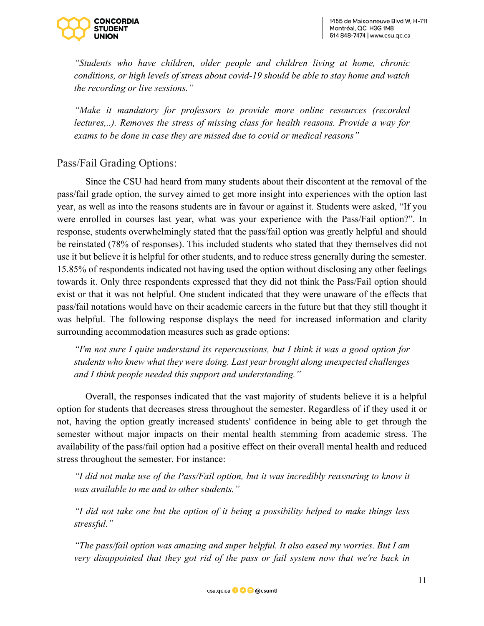

*"Students who have children, older people and children living at home, chronic conditions, or high levels of stress about covid-19 should be able to stay home and watch the recording or live sessions."*

*"Make it mandatory for professors to provide more online resources (recorded lectures,..). Removes the stress of missing class for health reasons. Provide a way for exams to be done in case they are missed due to covid or medical reasons"* 

#### Pass/Fail Grading Options:

Since the CSU had heard from many students about their discontent at the removal of the pass/fail grade option, the survey aimed to get more insight into experiences with the option last year, as well as into the reasons students are in favour or against it. Students were asked, "If you were enrolled in courses last year, what was your experience with the Pass/Fail option?". In response, students overwhelmingly stated that the pass/fail option was greatly helpful and should be reinstated (78% of responses). This included students who stated that they themselves did not use it but believe it is helpful for other students, and to reduce stress generally during the semester. 15.85% of respondents indicated not having used the option without disclosing any other feelings towards it. Only three respondents expressed that they did not think the Pass/Fail option should exist or that it was not helpful. One student indicated that they were unaware of the effects that pass/fail notations would have on their academic careers in the future but that they still thought it was helpful. The following response displays the need for increased information and clarity surrounding accommodation measures such as grade options:

*"I'm not sure I quite understand its repercussions, but I think it was a good option for students who knew what they were doing. Last year brought along unexpected challenges and I think people needed this support and understanding."*

Overall, the responses indicated that the vast majority of students believe it is a helpful option for students that decreases stress throughout the semester. Regardless of if they used it or not, having the option greatly increased students' confidence in being able to get through the semester without major impacts on their mental health stemming from academic stress. The availability of the pass/fail option had a positive effect on their overall mental health and reduced stress throughout the semester. For instance:

*"I did not make use of the Pass/Fail option, but it was incredibly reassuring to know it was available to me and to other students."*

*"I did not take one but the option of it being a possibility helped to make things less stressful."*

*"The pass/fail option was amazing and super helpful. It also eased my worries. But I am very disappointed that they got rid of the pass or fail system now that we're back in* 

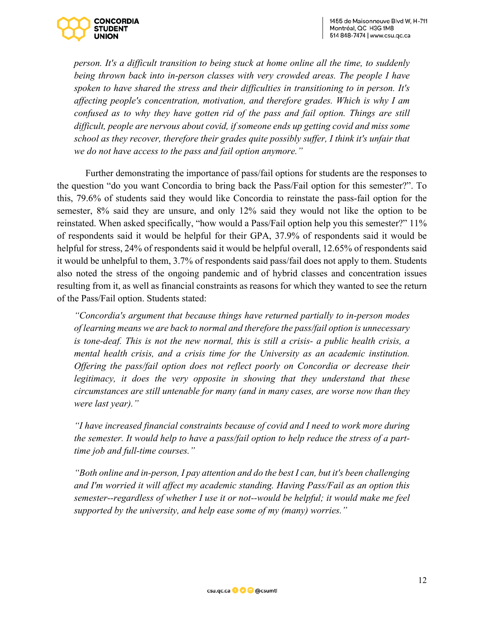

*person. It's a difficult transition to being stuck at home online all the time, to suddenly being thrown back into in-person classes with very crowded areas. The people I have spoken to have shared the stress and their difficulties in transitioning to in person. It's affecting people's concentration, motivation, and therefore grades. Which is why I am confused as to why they have gotten rid of the pass and fail option. Things are still difficult, people are nervous about covid, if someone ends up getting covid and miss some school as they recover, therefore their grades quite possibly suffer, I think it's unfair that we do not have access to the pass and fail option anymore."*

Further demonstrating the importance of pass/fail options for students are the responses to the question "do you want Concordia to bring back the Pass/Fail option for this semester?". To this, 79.6% of students said they would like Concordia to reinstate the pass-fail option for the semester, 8% said they are unsure, and only 12% said they would not like the option to be reinstated. When asked specifically, "how would a Pass/Fail option help you this semester?" 11% of respondents said it would be helpful for their GPA, 37.9% of respondents said it would be helpful for stress, 24% of respondents said it would be helpful overall, 12.65% of respondents said it would be unhelpful to them, 3.7% of respondents said pass/fail does not apply to them. Students also noted the stress of the ongoing pandemic and of hybrid classes and concentration issues resulting from it, as well as financial constraints as reasons for which they wanted to see the return of the Pass/Fail option. Students stated:

*"Concordia's argument that because things have returned partially to in-person modes of learning means we are back to normal and therefore the pass/fail option is unnecessary is tone-deaf. This is not the new normal, this is still a crisis- a public health crisis, a mental health crisis, and a crisis time for the University as an academic institution. Offering the pass/fail option does not reflect poorly on Concordia or decrease their legitimacy, it does the very opposite in showing that they understand that these circumstances are still untenable for many (and in many cases, are worse now than they were last year)."*

*"I have increased financial constraints because of covid and I need to work more during the semester. It would help to have a pass/fail option to help reduce the stress of a parttime job and full-time courses."*

*"Both online and in-person, I pay attention and do the best I can, but it's been challenging and I'm worried it will affect my academic standing. Having Pass/Fail as an option this semester--regardless of whether I use it or not--would be helpful; it would make me feel supported by the university, and help ease some of my (many) worries."*

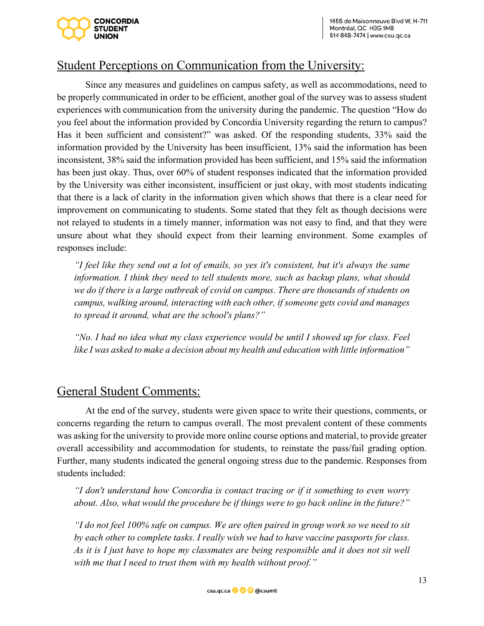

# Student Perceptions on Communication from the University:

Since any measures and guidelines on campus safety, as well as accommodations, need to be properly communicated in order to be efficient, another goal of the survey was to assess student experiences with communication from the university during the pandemic. The question "How do you feel about the information provided by Concordia University regarding the return to campus? Has it been sufficient and consistent?" was asked. Of the responding students, 33% said the information provided by the University has been insufficient, 13% said the information has been inconsistent, 38% said the information provided has been sufficient, and 15% said the information has been just okay. Thus, over 60% of student responses indicated that the information provided by the University was either inconsistent, insufficient or just okay, with most students indicating that there is a lack of clarity in the information given which shows that there is a clear need for improvement on communicating to students. Some stated that they felt as though decisions were not relayed to students in a timely manner, information was not easy to find, and that they were unsure about what they should expect from their learning environment. Some examples of responses include:

*"I feel like they send out a lot of emails, so yes it's consistent, but it's always the same information. I think they need to tell students more, such as backup plans, what should we do if there is a large outbreak of covid on campus. There are thousands of students on campus, walking around, interacting with each other, if someone gets covid and manages to spread it around, what are the school's plans?"*

*"No. I had no idea what my class experience would be until I showed up for class. Feel like I was asked to make a decision about my health and education with little information"* 

## General Student Comments:

At the end of the survey, students were given space to write their questions, comments, or concerns regarding the return to campus overall. The most prevalent content of these comments was asking for the university to provide more online course options and material, to provide greater overall accessibility and accommodation for students, to reinstate the pass/fail grading option. Further, many students indicated the general ongoing stress due to the pandemic. Responses from students included:

*"I don't understand how Concordia is contact tracing or if it something to even worry about. Also, what would the procedure be if things were to go back online in the future?"*

*"I do not feel 100% safe on campus. We are often paired in group work so we need to sit by each other to complete tasks. I really wish we had to have vaccine passports for class. As it is I just have to hope my classmates are being responsible and it does not sit well with me that I need to trust them with my health without proof."*

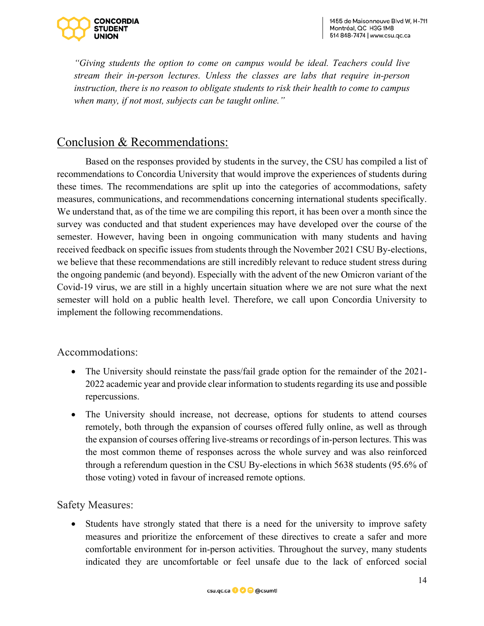

*"Giving students the option to come on campus would be ideal. Teachers could live stream their in-person lectures. Unless the classes are labs that require in-person instruction, there is no reason to obligate students to risk their health to come to campus when many, if not most, subjects can be taught online."*

# Conclusion & Recommendations:

Based on the responses provided by students in the survey, the CSU has compiled a list of recommendations to Concordia University that would improve the experiences of students during these times. The recommendations are split up into the categories of accommodations, safety measures, communications, and recommendations concerning international students specifically. We understand that, as of the time we are compiling this report, it has been over a month since the survey was conducted and that student experiences may have developed over the course of the semester. However, having been in ongoing communication with many students and having received feedback on specific issues from students through the November 2021 CSU By-elections, we believe that these recommendations are still incredibly relevant to reduce student stress during the ongoing pandemic (and beyond). Especially with the advent of the new Omicron variant of the Covid-19 virus, we are still in a highly uncertain situation where we are not sure what the next semester will hold on a public health level. Therefore, we call upon Concordia University to implement the following recommendations.

Accommodations:

- The University should reinstate the pass/fail grade option for the remainder of the 2021- 2022 academic year and provide clear information to students regarding its use and possible repercussions.
- The University should increase, not decrease, options for students to attend courses remotely, both through the expansion of courses offered fully online, as well as through the expansion of courses offering live-streams or recordings of in-person lectures. This was the most common theme of responses across the whole survey and was also reinforced through a referendum question in the CSU By-elections in which 5638 students (95.6% of those voting) voted in favour of increased remote options.

Safety Measures:

• Students have strongly stated that there is a need for the university to improve safety measures and prioritize the enforcement of these directives to create a safer and more comfortable environment for in-person activities. Throughout the survey, many students indicated they are uncomfortable or feel unsafe due to the lack of enforced social